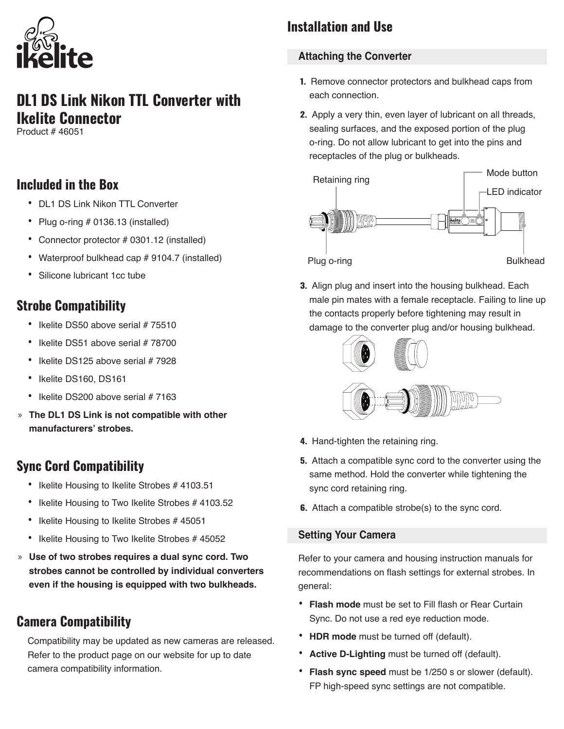

# **DL1 DS Link Nikon TTL Converter with Ikelite Connector**

Product # 46051

## **Included in the Box**

- DL1 DS Link Nikon TTL Converter
- Plug o-ring # 0136.13 (installed)
- Connector protector # 0301.12 (installed)
- Waterproof bulkhead cap # 9104.7 (installed)
- Silicone lubricant 1cc tube

## **Strobe Compatibility**

- Ikelite DS50 above serial # 75510
- Ikelite DS51 above serial # 78700
- Ikelite DS125 above serial # 7928
- Ikelite DS160, DS161
- Ikelite DS200 above serial # 7163
- » **The DL1 DS Link is not compatible with other manufacturers' strobes.**

# **Sync Cord Compatibility**

- Ikelite Housing to Ikelite Strobes # 4103.51
- Ikelite Housing to Two Ikelite Strobes # 4103.52
- Ikelite Housing to Ikelite Strobes # 45051
- Ikelite Housing to Two Ikelite Strobes # 45052
- » **Use of two strobes requires a dual sync cord. Two strobes cannot be controlled by individual converters even if the housing is equipped with two bulkheads.**

# **Camera Compatibility**

Compatibility may be updated as new cameras are released. Refer to the product page on our website for up to date camera compatibility information.

# **Installation and Use**

## **Attaching the Converter**

- **1.** Remove connector protectors and bulkhead caps from each connection.
- **2.** Apply a very thin, even layer of lubricant on all threads, sealing surfaces, and the exposed portion of the plug o-ring. Do not allow lubricant to get into the pins and receptacles of the plug or bulkheads.



**3.** Align plug and insert into the housing bulkhead. Each male pin mates with a female receptacle. Failing to line up the contacts properly before tightening may result in damage to the converter plug and/or housing bulkhead.



- **4.** Hand-tighten the retaining ring.
- **5.** Attach a compatible sync cord to the converter using the same method. Hold the converter while tightening the sync cord retaining ring.
- **6.** Attach a compatible strobe(s) to the sync cord.

### **Setting Your Camera**

Refer to your camera and housing instruction manuals for recommendations on flash settings for external strobes. In general:

- **Flash mode** must be set to Fill flash or Rear Curtain Sync. Do not use a red eye reduction mode.
- **HDR mode** must be turned off (default).
- **Active D-Lighting** must be turned off (default).
- **Flash sync speed** must be 1/250 s or slower (default). FP high-speed sync settings are not compatible.